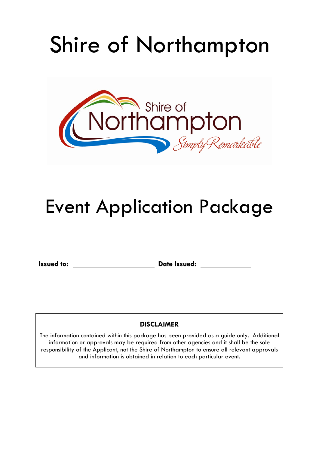# Shire of Northampton



## Event Application Package

**Issued to: Date Issued: Date Issued: Date Issued: Date Issued: Date Issued: Date Issued: Date Issued: Date Issued: Date Issued: Date Issued: Date Issued: Date Issued: Date Issued: Date Issued:** 

## **DISCLAIMER**

The information contained within this package has been provided as a guide only. Additional information or approvals may be required from other agencies and it shall be the sole responsibility of the Applicant, not the Shire of Northampton to ensure all relevant approvals and information is obtained in relation to each particular event.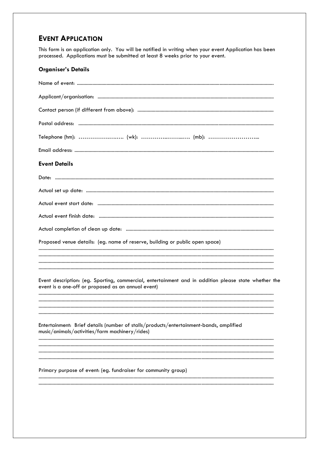## **EVENT APPLICATION**

This form is an application only. You will be notified in writing when your event Application has been processed. Applications must be submitted at least 8 weeks prior to your event.

#### **Organiser's Details**

| <b>Event Details</b>                                                                                                                                       |
|------------------------------------------------------------------------------------------------------------------------------------------------------------|
|                                                                                                                                                            |
|                                                                                                                                                            |
|                                                                                                                                                            |
|                                                                                                                                                            |
|                                                                                                                                                            |
| Proposed venue details: (eg. name of reserve, building or public open space)                                                                               |
|                                                                                                                                                            |
|                                                                                                                                                            |
| Event description: (eg. Sporting, commercial, entertainment and in addition please state whether the<br>event is a one-off or proposed as an annual event) |
|                                                                                                                                                            |
|                                                                                                                                                            |
| Entertainment: Brief details (number of stalls/products/entertainment-bands, amplified<br>music/animals/activities/farm machinery/rides)                   |
|                                                                                                                                                            |
|                                                                                                                                                            |
| Primary purpose of event: (eg. fundraiser for community group)                                                                                             |
|                                                                                                                                                            |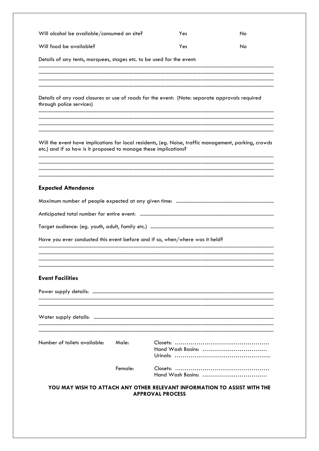| Will alcohol be available/consumed on site?                                                                                                                               |         | Yes                                                                                           | No |
|---------------------------------------------------------------------------------------------------------------------------------------------------------------------------|---------|-----------------------------------------------------------------------------------------------|----|
| Will food be available?                                                                                                                                                   |         | Yes                                                                                           | No |
| Details of any tents, marquees, stages etc. to be used for the event:                                                                                                     |         |                                                                                               |    |
| Details of any road closures or use of roads for the event: (Note: separate approvals required                                                                            |         |                                                                                               |    |
| through police services)                                                                                                                                                  |         |                                                                                               |    |
| Will the event have implications for local residents, (eg. Noise, traffic management, parking, crowds<br>etc.) and if so how is it proposed to manage these implications? |         |                                                                                               |    |
|                                                                                                                                                                           |         |                                                                                               |    |
| <b>Expected Attendance</b>                                                                                                                                                |         |                                                                                               |    |
|                                                                                                                                                                           |         |                                                                                               |    |
|                                                                                                                                                                           |         |                                                                                               |    |
|                                                                                                                                                                           |         |                                                                                               |    |
| Have you ever conducted this event before and if so, when/where was it held?                                                                                              |         |                                                                                               |    |
|                                                                                                                                                                           |         |                                                                                               |    |
| <b>Event Facilities</b>                                                                                                                                                   |         |                                                                                               |    |
|                                                                                                                                                                           |         |                                                                                               |    |
|                                                                                                                                                                           |         |                                                                                               |    |
| Number of toilets available:                                                                                                                                              | Male:   | Hand Wash Basins:                                                                             |    |
|                                                                                                                                                                           | Female: | Hand Wash Basins:<br>VOILMAV WICH TO ATTACH ANY OTHER BELEVANT INFORMATION TO ACCICT WITH THE |    |

YOU MAY WISH TO ATTACH ANY OTHER RELEVANT INFORMATION TO ASSIST WITH THE **APPROVAL PROCESS**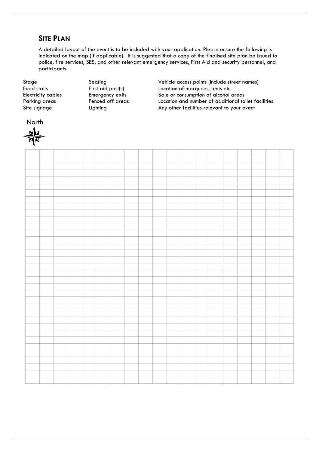### **SITE PLAN**

A detailed layout of the event is to be included with your application. Please ensure the following is indicated on the map (if applicable). It is suggested that a copy of the finalised site plan be issued to police, fire services, SES, and other relevant emergency services, First Aid and security personnel, and participants.

North

Stage Seating Seating Vehicle access points (include street names) Food stalls First aid post(s) Exercise to Location of marquees, tents etc. Electricity cables **Emergency exits** Sale or consumption of alcohol areas Parking areas **Fenced off areas** Location and number of additional toilet facilities Site signage The Lighting Any other facilities relevant to your event

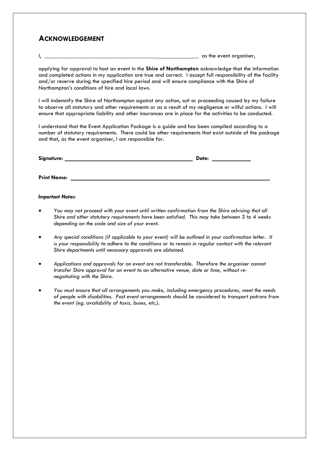## **ACKNOWLEDGEMENT**

 $\vert$ ,  $\vert$  as the event organiser,

applying for approval to host an event in the **Shire of Northampton** acknowledge that the information and completed actions in my application are true and correct. I accept full responsibility of the facility and/or reserve during the specified hire period and will ensure compliance with the Shire of Northampton's conditions of hire and local laws.

I will indemnify the Shire of Northampton against any action, suit or proceeding caused by my failure to observe all statutory and other requirements or as a result of my negligence or wilful actions. I will ensure that appropriate liability and other insurances are in place for the activities to be conducted.

I understand that the Event Application Package is a guide and has been compiled according to a number of statutory requirements. There could be other requirements that exist outside of the package and that, as the event organiser, I am responsible for.

| Signature:         | Date: |
|--------------------|-------|
|                    |       |
| <b>Print Name:</b> |       |

#### *Important Notes:*

- *You may not proceed with your event until written confirmation from the Shire advising that all Shire and other statutory requirements have been satisfied. This may take between 3 to 4 weeks depending on the scale and size of your event.*
- *Any special conditions (if applicable to your event) will be outlined in your confirmation letter. It*  is your responsibility to adhere to the conditions or to remain in regular contact with the relevant *Shire departments until necessary approvals are obtained.*
- *Applications and approvals for an event are not transferable. Therefore the organiser cannot transfer Shire approval for an event to an alternative venue, date or time, without renegotiating with the Shire.*
- *You must ensure that all arrangements you make, including emergency procedures, meet the needs of people with disabilities. Post event arrangements should be considered to transport patrons from the event (eg. availability of taxis, buses, etc.).*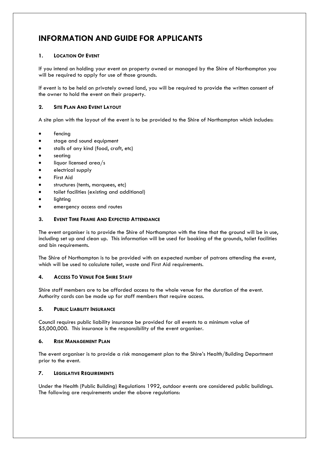## **INFORMATION AND GUIDE FOR APPLICANTS**

#### **1. LOCATION OF EVENT**

If you intend on holding your event on property owned or managed by the Shire of Northampton you will be required to apply for use of those grounds.

If event is to be held on privately owned land, you will be required to provide the written consent of the owner to hold the event on their property.

#### **2. SITE PLAN AND EVENT LAYOUT**

A site plan with the layout of the event is to be provided to the Shire of Northampton which includes:

- fencing
- stage and sound equipment
- stalls of any kind (food, craft, etc)
- seating
- liquor licensed area/s
- electrical supply
- First Aid
- structures (tents, marquees, etc)
- toilet facilities (existing and additional)
- lighting
- emergency access and routes

#### **3. EVENT TIME FRAME AND EXPECTED ATTENDANCE**

The event organiser is to provide the Shire of Northampton with the time that the ground will be in use, including set up and clean up. This information will be used for booking of the grounds, toilet facilities and bin requirements.

The Shire of Northampton is to be provided with an expected number of patrons attending the event, which will be used to calculate toilet, waste and First Aid requirements.

#### **4. ACCESS TO VENUE FOR SHIRE STAFF**

Shire staff members are to be afforded access to the whole venue for the duration of the event. Authority cards can be made up for staff members that require access.

#### **5. PUBLIC LIABILITY INSURANCE**

Council requires public liability insurance be provided for all events to a minimum value of \$5,000,000. This insurance is the responsibility of the event organiser.

#### **6. RISK MANAGEMENT PLAN**

The event organiser is to provide a risk management plan to the Shire's Health/Building Department prior to the event.

#### **7. LEGISLATIVE REQUIREMENTS**

Under the Health (Public Building) Regulations 1992, outdoor events are considered public buildings. The following are requirements under the above regulations: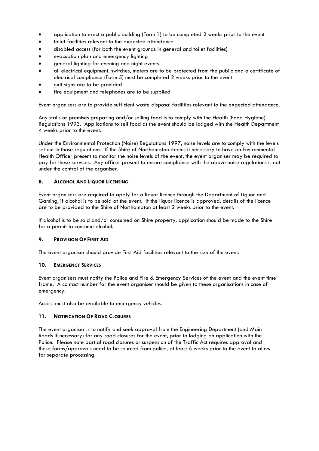- application to erect a public building (Form 1) to be completed 2 weeks prior to the event
- toilet facilities relevant to the expected attendance
- disabled access (for both the event grounds in general and toilet facilities)
- evacuation plan and emergency lighting
- general lighting for evening and night events
- all electrical equipment, switches, meters are to be protected from the public and a certificate of electrical compliance (Form 5) must be completed 2 weeks prior to the event
- exit signs are to be provided
- fire equipment and telephones are to be supplied

Event organisers are to provide sufficient waste disposal facilities relevant to the expected attendance.

Any stalls or premises preparing and/or selling food is to comply with the Health (Food Hygiene) Regulations 1993. Applications to sell food at the event should be lodged with the Health Department 4 weeks prior to the event.

Under the Environmental Protection (Noise) Regulations 1997, noise levels are to comply with the levels set out in those regulations. If the Shire of Northampton deems it necessary to have an Environmental Health Officer present to monitor the noise levels of the event, the event organiser may be required to pay for these services. Any officer present to ensure compliance with the above noise regulations is not under the control of the organiser.

#### **8. ALCOHOL AND LIQUOR LICENSING**

Event organisers are required to apply for a liquor licence through the Department of Liquor and Gaming, if alcohol is to be sold at the event. If the liquor licence is approved, details of the licence are to be provided to the Shire of Northampton at least 2 weeks prior to the event.

If alcohol is to be sold and/or consumed on Shire property, application should be made to the Shire for a permit to consume alcohol.

#### **9. PROVISION OF FIRST AID**

The event organiser should provide First Aid facilities relevant to the size of the event.

#### **10. EMERGENCY SERVICES**

Event organisers must notify the Police and Fire & Emergency Services of the event and the event time frame. A contact number for the event organiser should be given to these organisations in case of emergency.

Access must also be available to emergency vehicles.

#### **11. NOTIFICATION OF ROAD CLOSURES**

The event organiser is to notify and seek approval from the Engineering Department (and Main Roads if necessary) for any road closures for the event, prior to lodging an application with the Police. Please note partial road closures or suspension of the Traffic Act requires approval and these forms/approvals need to be sourced from police, at least 6 weeks prior to the event to allow for separate processing.